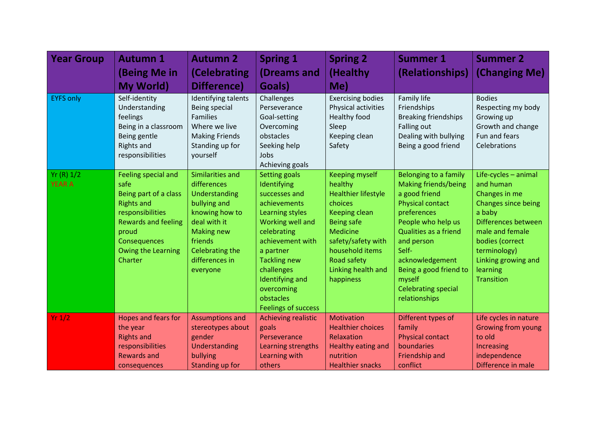| <b>Year Group</b>          | <b>Autumn 1</b>                                                                                                                                                                              | <b>Autumn 2</b>                                                                                                                                                                     | <b>Spring 1</b>                                                                                                                                                                                                                                                              | <b>Spring 2</b>                                                                                                                                                                                                               | <b>Summer 1</b>                                                                                                                                                                                                                                                                      | <b>Summer 2</b>                                                                                                                                                                                                          |
|----------------------------|----------------------------------------------------------------------------------------------------------------------------------------------------------------------------------------------|-------------------------------------------------------------------------------------------------------------------------------------------------------------------------------------|------------------------------------------------------------------------------------------------------------------------------------------------------------------------------------------------------------------------------------------------------------------------------|-------------------------------------------------------------------------------------------------------------------------------------------------------------------------------------------------------------------------------|--------------------------------------------------------------------------------------------------------------------------------------------------------------------------------------------------------------------------------------------------------------------------------------|--------------------------------------------------------------------------------------------------------------------------------------------------------------------------------------------------------------------------|
|                            | (Being Me in                                                                                                                                                                                 | (Celebrating                                                                                                                                                                        | (Dreams and                                                                                                                                                                                                                                                                  | (Healthy                                                                                                                                                                                                                      | (Relationships)                                                                                                                                                                                                                                                                      | (Changing Me)                                                                                                                                                                                                            |
|                            | <b>My World</b> )                                                                                                                                                                            | Difference)                                                                                                                                                                         | Goals)                                                                                                                                                                                                                                                                       | Me)                                                                                                                                                                                                                           |                                                                                                                                                                                                                                                                                      |                                                                                                                                                                                                                          |
| <b>EYFS only</b>           | Self-identity<br>Understanding<br>feelings<br>Being in a classroom<br>Being gentle<br><b>Rights and</b><br>responsibilities                                                                  | Identifying talents<br>Being special<br><b>Families</b><br>Where we live<br><b>Making Friends</b><br>Standing up for<br>yourself                                                    | Challenges<br>Perseverance<br>Goal-setting<br>Overcoming<br>obstacles<br>Seeking help<br>Jobs<br>Achieving goals                                                                                                                                                             | <b>Exercising bodies</b><br>Physical activities<br>Healthy food<br>Sleep<br>Keeping clean<br>Safety                                                                                                                           | Family life<br>Friendships<br><b>Breaking friendships</b><br><b>Falling out</b><br>Dealing with bullying<br>Being a good friend                                                                                                                                                      | <b>Bodies</b><br>Respecting my body<br>Growing up<br>Growth and change<br>Fun and fears<br>Celebrations                                                                                                                  |
| Yr(R) 1/2<br><b>YEAR A</b> | Feeling special and<br>safe<br>Being part of a class<br><b>Rights and</b><br>responsibilities<br><b>Rewards and feeling</b><br>proud<br>Consequences<br><b>Owing the Learning</b><br>Charter | Similarities and<br>differences<br>Understanding<br>bullying and<br>knowing how to<br>deal with it<br><b>Making new</b><br>friends<br>Celebrating the<br>differences in<br>everyone | <b>Setting goals</b><br>Identifying<br>successes and<br>achievements<br>Learning styles<br>Working well and<br>celebrating<br>achievement with<br>a partner<br><b>Tackling new</b><br>challenges<br>Identifying and<br>overcoming<br>obstacles<br><b>Feelings of success</b> | <b>Keeping myself</b><br>healthy<br><b>Healthier lifestyle</b><br>choices<br>Keeping clean<br><b>Being safe</b><br><b>Medicine</b><br>safety/safety with<br>household items<br>Road safety<br>Linking health and<br>happiness | Belonging to a family<br><b>Making friends/being</b><br>a good friend<br>Physical contact<br>preferences<br>People who help us<br>Qualities as a friend<br>and person<br>Self-<br>acknowledgement<br>Being a good friend to<br>myself<br><b>Celebrating special</b><br>relationships | Life-cycles - animal<br>and human<br>Changes in me<br>Changes since being<br>a baby<br>Differences between<br>male and female<br>bodies (correct<br>terminology)<br>Linking growing and<br>learning<br><b>Transition</b> |
| Yr 1/2                     | Hopes and fears for<br>the year<br><b>Rights and</b><br>responsibilities<br><b>Rewards and</b><br>consequences                                                                               | <b>Assumptions and</b><br>stereotypes about<br>gender<br>Understanding<br>bullying<br>Standing up for                                                                               | Achieving realistic<br>goals<br>Perseverance<br>Learning strengths<br>Learning with<br>others                                                                                                                                                                                | <b>Motivation</b><br><b>Healthier choices</b><br>Relaxation<br><b>Healthy eating and</b><br>nutrition<br><b>Healthier snacks</b>                                                                                              | Different types of<br>family<br><b>Physical contact</b><br>boundaries<br>Friendship and<br>conflict                                                                                                                                                                                  | Life cycles in nature<br><b>Growing from young</b><br>to old<br>Increasing<br>independence<br>Difference in male                                                                                                         |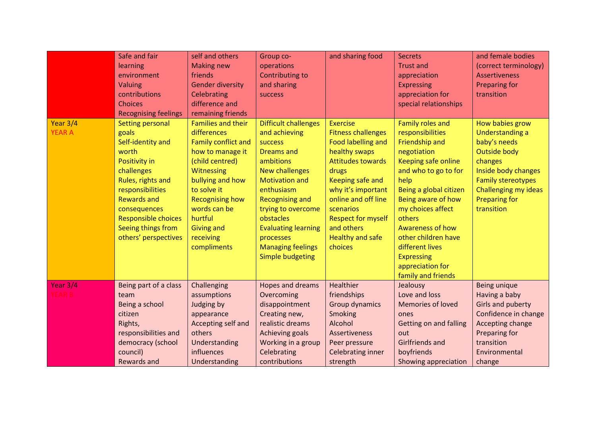|                           | Safe and fair<br>learning<br>environment<br>Valuing<br>contributions<br><b>Choices</b><br><b>Recognising feelings</b>                                                                                                                                           | self and others<br><b>Making new</b><br>friends<br><b>Gender diversity</b><br><b>Celebrating</b><br>difference and<br>remaining friends                                                                                                                                     | Group co-<br>operations<br><b>Contributing to</b><br>and sharing<br><b>SUCCESS</b>                                                                                                                                                                                                                                              | and sharing food                                                                                                                                                                                                                                                                               | <b>Secrets</b><br><b>Trust and</b><br>appreciation<br><b>Expressing</b><br>appreciation for<br>special relationships                                                                                                                                                                                                                                   | and female bodies<br>(correct terminology)<br><b>Assertiveness</b><br><b>Preparing for</b><br>transition                                                                                               |
|---------------------------|-----------------------------------------------------------------------------------------------------------------------------------------------------------------------------------------------------------------------------------------------------------------|-----------------------------------------------------------------------------------------------------------------------------------------------------------------------------------------------------------------------------------------------------------------------------|---------------------------------------------------------------------------------------------------------------------------------------------------------------------------------------------------------------------------------------------------------------------------------------------------------------------------------|------------------------------------------------------------------------------------------------------------------------------------------------------------------------------------------------------------------------------------------------------------------------------------------------|--------------------------------------------------------------------------------------------------------------------------------------------------------------------------------------------------------------------------------------------------------------------------------------------------------------------------------------------------------|--------------------------------------------------------------------------------------------------------------------------------------------------------------------------------------------------------|
| Year 3/4<br><b>YEAR A</b> | <b>Setting personal</b><br>goals<br>Self-identity and<br>worth<br><b>Positivity in</b><br>challenges<br>Rules, rights and<br>responsibilities<br><b>Rewards and</b><br>consequences<br><b>Responsible choices</b><br>Seeing things from<br>others' perspectives | <b>Families and their</b><br>differences<br><b>Family conflict and</b><br>how to manage it<br>(child centred)<br><b>Witnessing</b><br>bullying and how<br>to solve it<br><b>Recognising how</b><br>words can be<br>hurtful<br><b>Giving and</b><br>receiving<br>compliments | <b>Difficult challenges</b><br>and achieving<br><b>SUCCESS</b><br><b>Dreams and</b><br>ambitions<br><b>New challenges</b><br><b>Motivation and</b><br>enthusiasm<br><b>Recognising and</b><br>trying to overcome<br>obstacles<br><b>Evaluating learning</b><br>processes<br><b>Managing feelings</b><br><b>Simple budgeting</b> | <b>Exercise</b><br><b>Fitness challenges</b><br><b>Food labelling and</b><br>healthy swaps<br><b>Attitudes towards</b><br>drugs<br>Keeping safe and<br>why it's important<br>online and off line<br>scenarios<br><b>Respect for myself</b><br>and others<br><b>Healthy and safe</b><br>choices | <b>Family roles and</b><br>responsibilities<br>Friendship and<br>negotiation<br><b>Keeping safe online</b><br>and who to go to for<br>help<br>Being a global citizen<br>Being aware of how<br>my choices affect<br>others<br>Awareness of how<br>other children have<br>different lives<br><b>Expressing</b><br>appreciation for<br>family and friends | How babies grow<br><b>Understanding a</b><br>baby's needs<br>Outside body<br>changes<br>Inside body changes<br><b>Family stereotypes</b><br>Challenging my ideas<br><b>Preparing for</b><br>transition |
| Year 3/4<br>YEAR B        | Being part of a class<br>team<br>Being a school<br>citizen<br>Rights,<br>responsibilities and<br>democracy (school<br>council)<br><b>Rewards and</b>                                                                                                            | Challenging<br>assumptions<br>Judging by<br>appearance<br>Accepting self and<br>others<br>Understanding<br>influences<br>Understanding                                                                                                                                      | Hopes and dreams<br>Overcoming<br>disappointment<br>Creating new,<br>realistic dreams<br>Achieving goals<br>Working in a group<br>Celebrating<br>contributions                                                                                                                                                                  | <b>Healthier</b><br>friendships<br>Group dynamics<br><b>Smoking</b><br>Alcohol<br><b>Assertiveness</b><br>Peer pressure<br><b>Celebrating inner</b><br>strength                                                                                                                                | Jealousy<br>Love and loss<br><b>Memories of loved</b><br>ones<br><b>Getting on and falling</b><br>out<br><b>Girlfriends and</b><br>boyfriends<br>Showing appreciation                                                                                                                                                                                  | Being unique<br>Having a baby<br><b>Girls and puberty</b><br>Confidence in change<br>Accepting change<br>Preparing for<br>transition<br>Environmental<br>change                                        |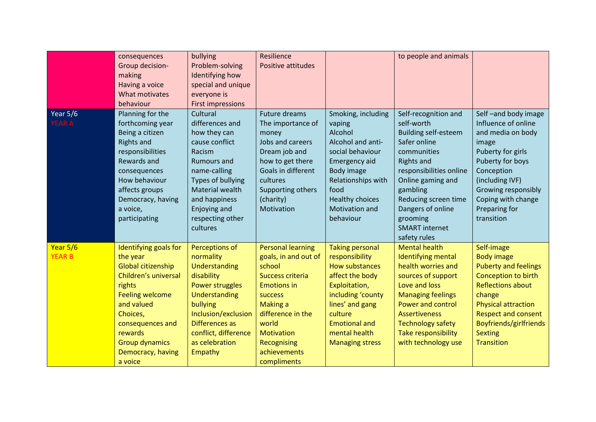|                           | consequences<br>Group decision-<br>making<br>Having a voice<br>What motivates<br>behaviour                                                                                                                                            | bullying<br>Problem-solving<br>Identifying how<br>special and unique<br>everyone is<br><b>First impressions</b>                                                                                                               | Resilience<br><b>Positive attitudes</b>                                                                                                                                                                                      |                                                                                                                                                                                                                      | to people and animals                                                                                                                                                                                                                                                               |                                                                                                                                                                                                                                                          |
|---------------------------|---------------------------------------------------------------------------------------------------------------------------------------------------------------------------------------------------------------------------------------|-------------------------------------------------------------------------------------------------------------------------------------------------------------------------------------------------------------------------------|------------------------------------------------------------------------------------------------------------------------------------------------------------------------------------------------------------------------------|----------------------------------------------------------------------------------------------------------------------------------------------------------------------------------------------------------------------|-------------------------------------------------------------------------------------------------------------------------------------------------------------------------------------------------------------------------------------------------------------------------------------|----------------------------------------------------------------------------------------------------------------------------------------------------------------------------------------------------------------------------------------------------------|
| Year 5/6<br><b>YEAR A</b> | Planning for the<br>forthcoming year<br>Being a citizen<br><b>Rights and</b><br>responsibilities<br>Rewards and<br>consequences<br>How behaviour<br>affects groups<br>Democracy, having<br>a voice,<br>participating                  | Cultural<br>differences and<br>how they can<br>cause conflict<br>Racism<br><b>Rumours and</b><br>name-calling<br><b>Types of bullying</b><br>Material wealth<br>and happiness<br>Enjoying and<br>respecting other<br>cultures | <b>Future dreams</b><br>The importance of<br>money<br>Jobs and careers<br>Dream job and<br>how to get there<br>Goals in different<br>cultures<br>Supporting others<br>(charity)<br>Motivation                                | Smoking, including<br>vaping<br>Alcohol<br>Alcohol and anti-<br>social behaviour<br><b>Emergency aid</b><br>Body image<br>Relationships with<br>food<br><b>Healthy choices</b><br>Motivation and<br>behaviour        | Self-recognition and<br>self-worth<br><b>Building self-esteem</b><br>Safer online<br>communities<br><b>Rights and</b><br>responsibilities online<br>Online gaming and<br>gambling<br>Reducing screen time<br>Dangers of online<br>grooming<br><b>SMART</b> internet<br>safety rules | Self-and body image<br>Influence of online<br>and media on body<br>image<br>Puberty for girls<br>Puberty for boys<br>Conception<br>(including IVF)<br>Growing responsibly<br>Coping with change<br>Preparing for<br>transition                           |
| Year 5/6<br><b>YEAR B</b> | Identifying goals for<br>the year<br>Global citizenship<br>Children's universal<br>rights<br><b>Feeling welcome</b><br>and valued<br>Choices,<br>consequences and<br>rewards<br><b>Group dynamics</b><br>Democracy, having<br>a voice | Perceptions of<br>normality<br>Understanding<br>disability<br>Power struggles<br>Understanding<br>bullying<br>Inclusion/exclusion<br>Differences as<br>conflict, difference<br>as celebration<br>Empathy                      | <b>Personal learning</b><br>goals, in and out of<br>school<br>Success criteria<br><b>Emotions in</b><br>success<br>Making a<br>difference in the<br>world<br><b>Motivation</b><br>Recognising<br>achievements<br>compliments | <b>Taking personal</b><br>responsibility<br>How substances<br>affect the body<br>Exploitation,<br>including 'county<br>lines' and gang<br>culture<br><b>Emotional and</b><br>mental health<br><b>Managing stress</b> | <b>Mental health</b><br><b>Identifying mental</b><br>health worries and<br>sources of support<br>Love and loss<br><b>Managing feelings</b><br><b>Power and control</b><br><b>Assertiveness</b><br><b>Technology safety</b><br>Take responsibility<br>with technology use            | Self-image<br><b>Body image</b><br><b>Puberty and feelings</b><br>Conception to birth<br><b>Reflections about</b><br>change<br><b>Physical attraction</b><br><b>Respect and consent</b><br>Boyfriends/girlfriends<br><b>Sexting</b><br><b>Transition</b> |